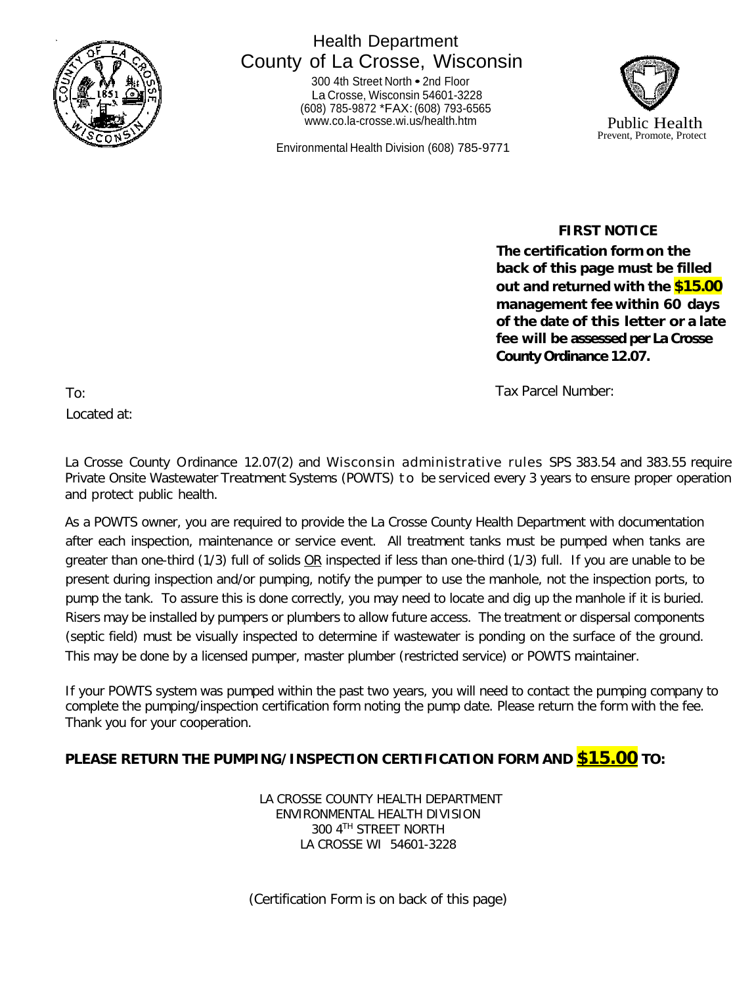

## Health Department County of La Crosse, Wisconsin

<sup>300</sup> 4th Street North • 2nd Floor La Crosse, Wisconsin 54601-3228 (608) 785-9872 \*FAX:(608) 793-6565 [www.co.la-crosse.wi.us/health.htm](http://www.co.la-crosse.wi.us/health.htm) Public Health

Environmental Health Division (608) 785-9771



 **FIRST NOTICE**

**The certification form on the back of this page must be filled out and returned with the \$15.00 management fee within 60 days of the date of this letter or a late fee will be assessed per La Crosse County Ordinance 12.07.**

Tax Parcel Number:

To: Located at:

La Crosse County Ordinance 12.07(2) and Wisconsin administrative rules SPS 383.54 and 383.55 require Private Onsite Wastewater Treatment Systems (POWTS) to be serviced every 3 years to ensure proper operation and protect public health.

As a POWTS owner, you are required to provide the La Crosse County Health Department with documentation after each inspection, maintenance or service event. All treatment tanks must be pumped when tanks are greater than one-third (1/3) full of solids OR inspected if less than one-third (1/3) full. If you are unable to be present during inspection and/or pumping, notify the pumper to use the manhole, not the inspection ports, to pump the tank. To assure this is done correctly, you may need to locate and dig up the manhole if it is buried. Risers may be installed by pumpers or plumbers to allow future access. The treatment or dispersal components (septic field) must be visually inspected to determine if wastewater is ponding on the surface of the ground. This may be done by a licensed pumper, master plumber (restricted service) or POWTS maintainer.

If your POWTS system was pumped within the past two years, you will need to contact the pumping company to complete the pumping/inspection certification form noting the pump date. Please return the form with the fee. Thank you for your cooperation.

### **PLEASE RETURN THE PUMPING/INSPECTION CERTIFICATION FORM AND \$15.00 TO:**

LA CROSSE COUNTY HEALTH DEPARTMENT ENVIRONMENTAL HEALTH DIVISION 300 4TH STREET NORTH LA CROSSE WI 54601-3228

(Certification Form is on back of this page)